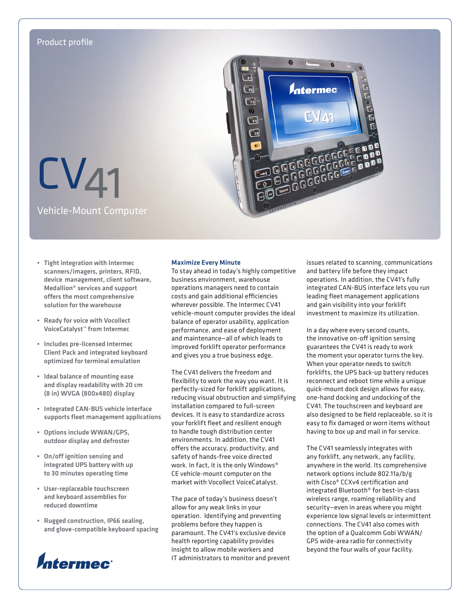

- • Tight integration with Intermec scanners/imagers, printers, RFID, device management, client software, Medallion® services and support offers the most comprehensive solution for the warehouse
- • Ready for voice with Vocollect VoiceCatalyst™ from Intermec
- • Includes pre-licensed Intermec Client Pack and integrated keyboard optimized for terminal emulation
- • Ideal balance of mounting ease and display readability with 20 cm (8 in) WVGA (800x480) display
- • Integrated CAN-BUS vehicle interface supports fleet management applications
- • Options include WWAN/GPS, outdoor display and defroster
- • On/off ignition sensing and integrated UPS battery with up to 30 minutes operating time
- • User-replaceable touchscreen and keyboard assemblies for reduced downtime
- Rugged construction, IP66 sealing, and glove-compatible keyboard spacing



# Maximize Every Minute

To stay ahead in today's highly competitive business environment, warehouse operations managers need to contain costs and gain additional efficiencies wherever possible. The Intermec CV41 vehicle-mount computer provides the ideal balance of operator usability, application performance, and ease of deployment and maintenance—all of which leads to improved forklift operator performance and gives you a true business edge.

The CV41 delivers the freedom and flexibility to work the way you want. It is perfectly-sized for forklift applications, reducing visual obstruction and simplifying installation compared to full-screen devices. It is easy to standardize across your forklift fleet and resilient enough to handle tough distribution center environments. In addition, the CV41 offers the accuracy, productivity, and safety of hands-free voice directed work. In fact, it is the only Windows® CE vehicle-mount computer on the market with Vocollect VoiceCatalyst.

The pace of today's business doesn't allow for any weak links in your operation. Identifying and preventing problems before they happen is paramount. The CV41's exclusive device health reporting capability provides insight to allow mobile workers and IT administrators to monitor and prevent issues related to scanning, communications and battery life before they impact operations. In addition, the CV41's fully integrated CAN-BUS interface lets you run leading fleet management applications and gain visibility into your forklift investment to maximize its utilization.

In a day where every second counts, the innovative on-off ignition sensing guarantees the CV41 is ready to work the moment your operator turns the key. When your operator needs to switch forklifts, the UPS back-up battery reduces reconnect and reboot time while a unique quick-mount dock design allows for easy, one-hand docking and undocking of the CV41. The touchscreen and keyboard are also designed to be field replaceable, so it is easy to fix damaged or worn items without having to box up and mail in for service.

The CV41 seamlessly integrates with any forklift, any network, any facility, anywhere in the world. Its comprehensive network options include 802.11a/b/g with Cisco® CCXv4 certification and integrated Bluetooth® for best-in-class wireless range, roaming reliability and security—even in areas where you might experience low signal levels or intermittent connections. The CV41 also comes with the option of a Qualcomm Gobi WWAN/ GPS wide-area radio for connectivity beyond the four walls of your facility.